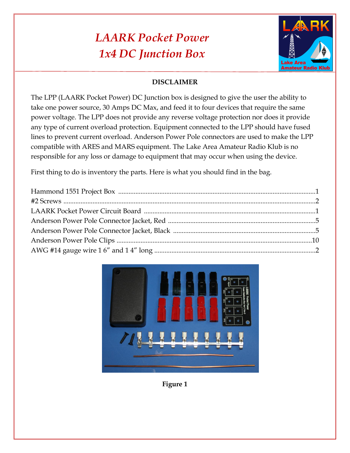## *LAARK Pocket Power 1x4 DC Junction Box*



## **DISCLAIMER**

The LPP (LAARK Pocket Power) DC Junction box is designed to give the user the ability to take one power source, 30 Amps DC Max, and feed it to four devices that require the same power voltage. The LPP does not provide any reverse voltage protection nor does it provide any type of current overload protection. Equipment connected to the LPP should have fused lines to prevent current overload. Anderson Power Pole connectors are used to make the LPP compatible with ARES and MARS equipment. The Lake Area Amateur Radio Klub is no responsible for any loss or damage to equipment that may occur when using the device.

First thing to do is inventory the parts. Here is what you should find in the bag.



**Figure 1**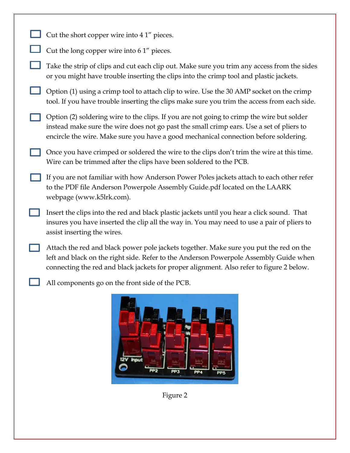- Cut the short copper wire into 4 1" pieces.
	- Cut the long copper wire into 6 1" pieces.
	- Take the strip of clips and cut each clip out. Make sure you trim any access from the sides or you might have trouble inserting the clips into the crimp tool and plastic jackets.
	- Option (1) using a crimp tool to attach clip to wire. Use the 30 AMP socket on the crimp tool. If you have trouble inserting the clips make sure you trim the access from each side.
	- Option (2) soldering wire to the clips. If you are not going to crimp the wire but solder instead make sure the wire does not go past the small crimp ears. Use a set of pliers to encircle the wire. Make sure you have a good mechanical connection before soldering.
	- Once you have crimped or soldered the wire to the clips don't trim the wire at this time. Wire can be trimmed after the clips have been soldered to the PCB.
	- If you are not familiar with how Anderson Power Poles jackets attach to each other refer to the PDF file Anderson Powerpole Assembly Guide.pdf located on the LAARK webpage (www.k5lrk.com).
	- Insert the clips into the red and black plastic jackets until you hear a click sound. That insures you have inserted the clip all the way in. You may need to use a pair of pliers to assist inserting the wires.
		- Attach the red and black power pole jackets together. Make sure you put the red on the left and black on the right side. Refer to the Anderson Powerpole Assembly Guide when connecting the red and black jackets for proper alignment. Also refer to figure 2 below.
			- All components go on the front side of the PCB.



Figure 2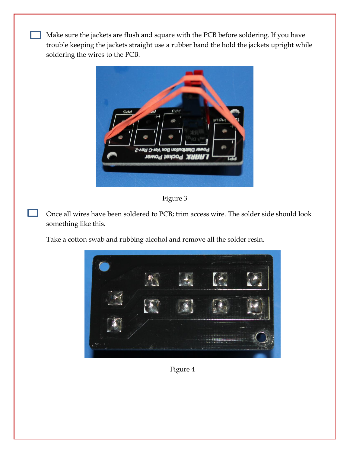Make sure the jackets are flush and square with the PCB before soldering. If you have trouble keeping the jackets straight use a rubber band the hold the jackets upright while soldering the wires to the PCB.



Figure 3

Once all wires have been soldered to PCB; trim access wire. The solder side should look something like this.

Take a cotton swab and rubbing alcohol and remove all the solder resin.



Figure 4